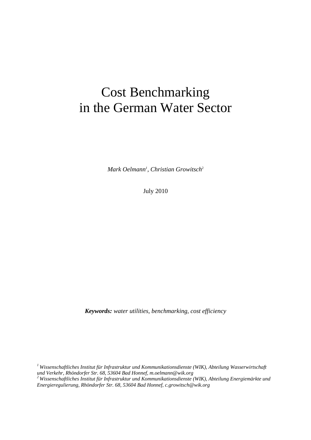## Cost Benchmarking in the German Water Sector

*Mark Oelmann<sup>1</sup>*, *Christian Growitsch*<sup>2</sup>

July 2010

*Keywords: water utilities, benchmarking, cost efficiency* 

*1 Wissenschaftliches Institut für Infrastruktur und Kommunikationsdienste (WIK), Abteilung Wasserwirtschaft und Verkehr, Rhöndorfer Str. 68, 53604 Bad Honnef, m.oelmann@wik.org 2 Wissenschaftliches Institut für Infrastruktur und Kommunikationsdienste (WIK), Abteilung Energiemärkte und Energieregulierung, Rhöndorfer Str. 68, 53604 Bad Honnef, c.growitsch@wik.org*